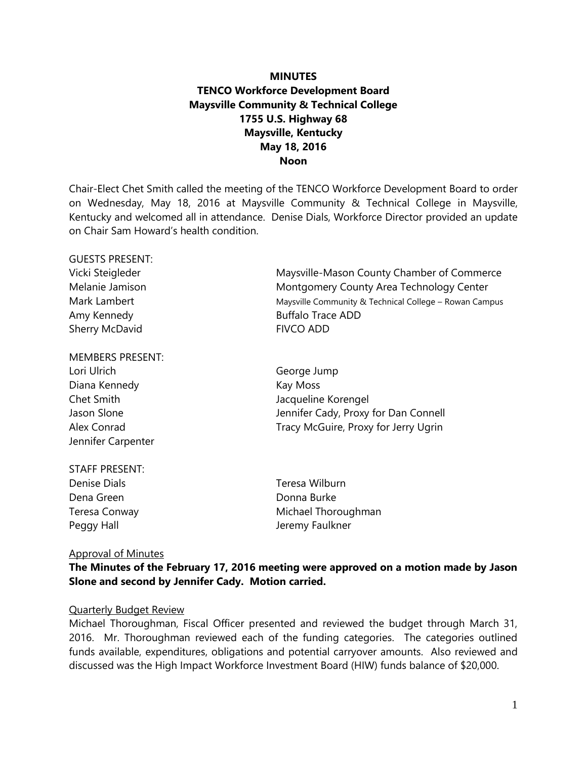# **MINUTES TENCO Workforce Development Board Maysville Community & Technical College 1755 U.S. Highway 68 Maysville, Kentucky May 18, 2016 Noon**

Chair-Elect Chet Smith called the meeting of the TENCO Workforce Development Board to order on Wednesday, May 18, 2016 at Maysville Community & Technical College in Maysville, Kentucky and welcomed all in attendance. Denise Dials, Workforce Director provided an update on Chair Sam Howard's health condition.

| OULSTS FINDLINT. |                                                        |  |
|------------------|--------------------------------------------------------|--|
| Vicki Steigleder | Maysville-Mason County Chamber of Commerce             |  |
| Melanie Jamison  | Montgomery County Area Technology Center               |  |
| Mark Lambert     | Maysville Community & Technical College - Rowan Campus |  |
| Amy Kennedy      | <b>Buffalo Trace ADD</b>                               |  |
| Sherry McDavid   | <b>FIVCO ADD</b>                                       |  |
|                  |                                                        |  |

| Lori Ulrich        | George Jump                          |  |
|--------------------|--------------------------------------|--|
| Diana Kennedy      | Kay Moss                             |  |
| Chet Smith         | Jacqueline Korengel                  |  |
| Jason Slone        | Jennifer Cady, Proxy for Dan Connell |  |
| Alex Conrad        | Tracy McGuire, Proxy for Jerry Ugrin |  |
| Jennifer Carpenter |                                      |  |

| STAFF PRESENT: |     |
|----------------|-----|
| Denise Dials   | Te  |
| Dena Green     | Dc  |
| Teresa Conway  | Mi  |
| Peggy Hall     | Jeı |

resa Wilburn onna Burke ichael Thoroughman remy Faulkner

#### Approval of Minutes

CUESTS DRESENT.

MEMBERS PRESENT:

## **The Minutes of the February 17, 2016 meeting were approved on a motion made by Jason Slone and second by Jennifer Cady. Motion carried.**

#### Quarterly Budget Review

Michael Thoroughman, Fiscal Officer presented and reviewed the budget through March 31, 2016. Mr. Thoroughman reviewed each of the funding categories. The categories outlined funds available, expenditures, obligations and potential carryover amounts. Also reviewed and discussed was the High Impact Workforce Investment Board (HIW) funds balance of \$20,000.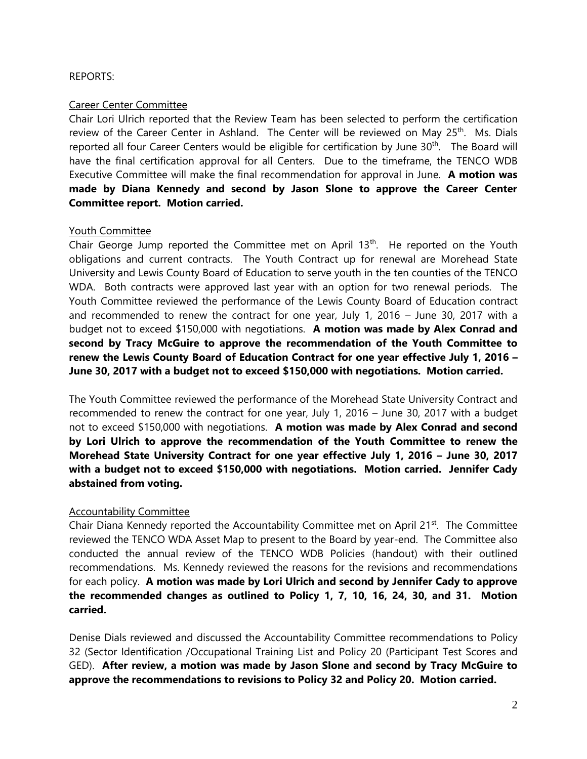## REPORTS:

## Career Center Committee

Chair Lori Ulrich reported that the Review Team has been selected to perform the certification review of the Career Center in Ashland. The Center will be reviewed on May 25<sup>th</sup>. Ms. Dials reported all four Career Centers would be eligible for certification by June 30<sup>th</sup>. The Board will have the final certification approval for all Centers. Due to the timeframe, the TENCO WDB Executive Committee will make the final recommendation for approval in June. **A motion was made by Diana Kennedy and second by Jason Slone to approve the Career Center Committee report. Motion carried.**

## Youth Committee

Chair George Jump reported the Committee met on April 13<sup>th</sup>. He reported on the Youth obligations and current contracts. The Youth Contract up for renewal are Morehead State University and Lewis County Board of Education to serve youth in the ten counties of the TENCO WDA. Both contracts were approved last year with an option for two renewal periods. The Youth Committee reviewed the performance of the Lewis County Board of Education contract and recommended to renew the contract for one year, July 1, 2016 – June 30, 2017 with a budget not to exceed \$150,000 with negotiations. **A motion was made by Alex Conrad and second by Tracy McGuire to approve the recommendation of the Youth Committee to renew the Lewis County Board of Education Contract for one year effective July 1, 2016 – June 30, 2017 with a budget not to exceed \$150,000 with negotiations. Motion carried.**

The Youth Committee reviewed the performance of the Morehead State University Contract and recommended to renew the contract for one year, July 1, 2016 – June 30, 2017 with a budget not to exceed \$150,000 with negotiations. **A motion was made by Alex Conrad and second by Lori Ulrich to approve the recommendation of the Youth Committee to renew the Morehead State University Contract for one year effective July 1, 2016 – June 30, 2017 with a budget not to exceed \$150,000 with negotiations. Motion carried. Jennifer Cady abstained from voting.** 

# Accountability Committee

Chair Diana Kennedy reported the Accountability Committee met on April 21<sup>st</sup>. The Committee reviewed the TENCO WDA Asset Map to present to the Board by year-end. The Committee also conducted the annual review of the TENCO WDB Policies (handout) with their outlined recommendations. Ms. Kennedy reviewed the reasons for the revisions and recommendations for each policy. **A motion was made by Lori Ulrich and second by Jennifer Cady to approve the recommended changes as outlined to Policy 1, 7, 10, 16, 24, 30, and 31. Motion carried.**

Denise Dials reviewed and discussed the Accountability Committee recommendations to Policy 32 (Sector Identification /Occupational Training List and Policy 20 (Participant Test Scores and GED). **After review, a motion was made by Jason Slone and second by Tracy McGuire to approve the recommendations to revisions to Policy 32 and Policy 20. Motion carried.**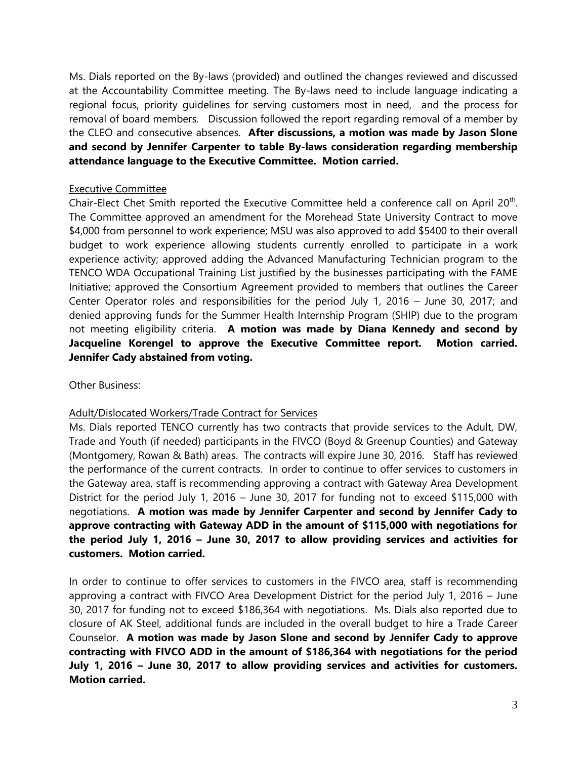Ms. Dials reported on the By-laws (provided) and outlined the changes reviewed and discussed at the Accountability Committee meeting. The By-laws need to include language indicating a regional focus, priority guidelines for serving customers most in need, and the process for removal of board members. Discussion followed the report regarding removal of a member by the CLEO and consecutive absences. **After discussions, a motion was made by Jason Slone and second by Jennifer Carpenter to table By-laws consideration regarding membership attendance language to the Executive Committee. Motion carried.**

#### Executive Committee

Chair-Elect Chet Smith reported the Executive Committee held a conference call on April 20<sup>th</sup>. The Committee approved an amendment for the Morehead State University Contract to move \$4,000 from personnel to work experience; MSU was also approved to add \$5400 to their overall budget to work experience allowing students currently enrolled to participate in a work experience activity; approved adding the Advanced Manufacturing Technician program to the TENCO WDA Occupational Training List justified by the businesses participating with the FAME Initiative; approved the Consortium Agreement provided to members that outlines the Career Center Operator roles and responsibilities for the period July 1, 2016 – June 30, 2017; and denied approving funds for the Summer Health Internship Program (SHIP) due to the program not meeting eligibility criteria. **A motion was made by Diana Kennedy and second by Jacqueline Korengel to approve the Executive Committee report. Motion carried. Jennifer Cady abstained from voting.**

Other Business:

# Adult/Dislocated Workers/Trade Contract for Services

Ms. Dials reported TENCO currently has two contracts that provide services to the Adult, DW, Trade and Youth (if needed) participants in the FIVCO (Boyd & Greenup Counties) and Gateway (Montgomery, Rowan & Bath) areas. The contracts will expire June 30, 2016. Staff has reviewed the performance of the current contracts. In order to continue to offer services to customers in the Gateway area, staff is recommending approving a contract with Gateway Area Development District for the period July 1, 2016 – June 30, 2017 for funding not to exceed \$115,000 with negotiations. **A motion was made by Jennifer Carpenter and second by Jennifer Cady to approve contracting with Gateway ADD in the amount of \$115,000 with negotiations for the period July 1, 2016 – June 30, 2017 to allow providing services and activities for customers. Motion carried.**

In order to continue to offer services to customers in the FIVCO area, staff is recommending approving a contract with FIVCO Area Development District for the period July 1, 2016 – June 30, 2017 for funding not to exceed \$186,364 with negotiations. Ms. Dials also reported due to closure of AK Steel, additional funds are included in the overall budget to hire a Trade Career Counselor. **A motion was made by Jason Slone and second by Jennifer Cady to approve contracting with FIVCO ADD in the amount of \$186,364 with negotiations for the period July 1, 2016 – June 30, 2017 to allow providing services and activities for customers. Motion carried.**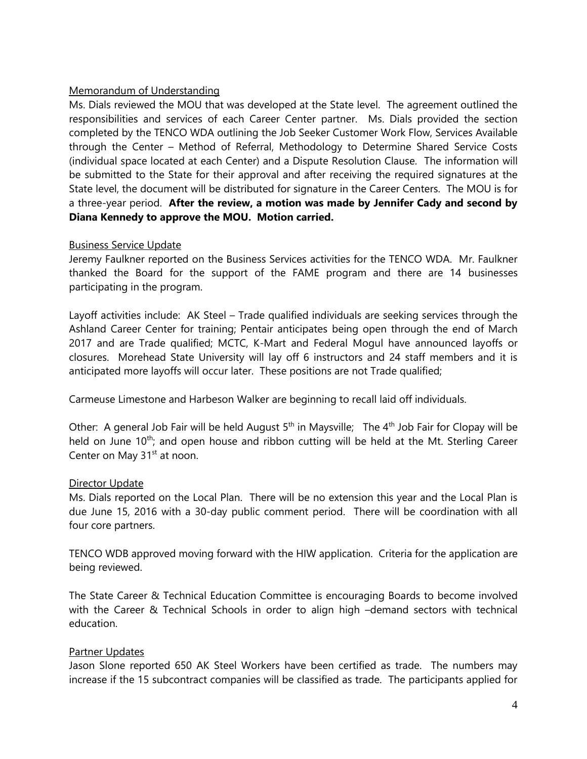## Memorandum of Understanding

Ms. Dials reviewed the MOU that was developed at the State level. The agreement outlined the responsibilities and services of each Career Center partner. Ms. Dials provided the section completed by the TENCO WDA outlining the Job Seeker Customer Work Flow, Services Available through the Center – Method of Referral, Methodology to Determine Shared Service Costs (individual space located at each Center) and a Dispute Resolution Clause. The information will be submitted to the State for their approval and after receiving the required signatures at the State level, the document will be distributed for signature in the Career Centers. The MOU is for a three-year period. **After the review, a motion was made by Jennifer Cady and second by Diana Kennedy to approve the MOU. Motion carried.**

#### Business Service Update

Jeremy Faulkner reported on the Business Services activities for the TENCO WDA. Mr. Faulkner thanked the Board for the support of the FAME program and there are 14 businesses participating in the program.

Layoff activities include: AK Steel – Trade qualified individuals are seeking services through the Ashland Career Center for training; Pentair anticipates being open through the end of March 2017 and are Trade qualified; MCTC, K-Mart and Federal Mogul have announced layoffs or closures. Morehead State University will lay off 6 instructors and 24 staff members and it is anticipated more layoffs will occur later. These positions are not Trade qualified;

Carmeuse Limestone and Harbeson Walker are beginning to recall laid off individuals.

Other: A general Job Fair will be held August  $5<sup>th</sup>$  in Maysville; The 4<sup>th</sup> Job Fair for Clopay will be held on June 10<sup>th</sup>; and open house and ribbon cutting will be held at the Mt. Sterling Career Center on May 31<sup>st</sup> at noon.

#### **Director Update**

Ms. Dials reported on the Local Plan. There will be no extension this year and the Local Plan is due June 15, 2016 with a 30-day public comment period. There will be coordination with all four core partners.

TENCO WDB approved moving forward with the HIW application. Criteria for the application are being reviewed.

The State Career & Technical Education Committee is encouraging Boards to become involved with the Career & Technical Schools in order to align high –demand sectors with technical education.

#### Partner Updates

Jason Slone reported 650 AK Steel Workers have been certified as trade. The numbers may increase if the 15 subcontract companies will be classified as trade. The participants applied for